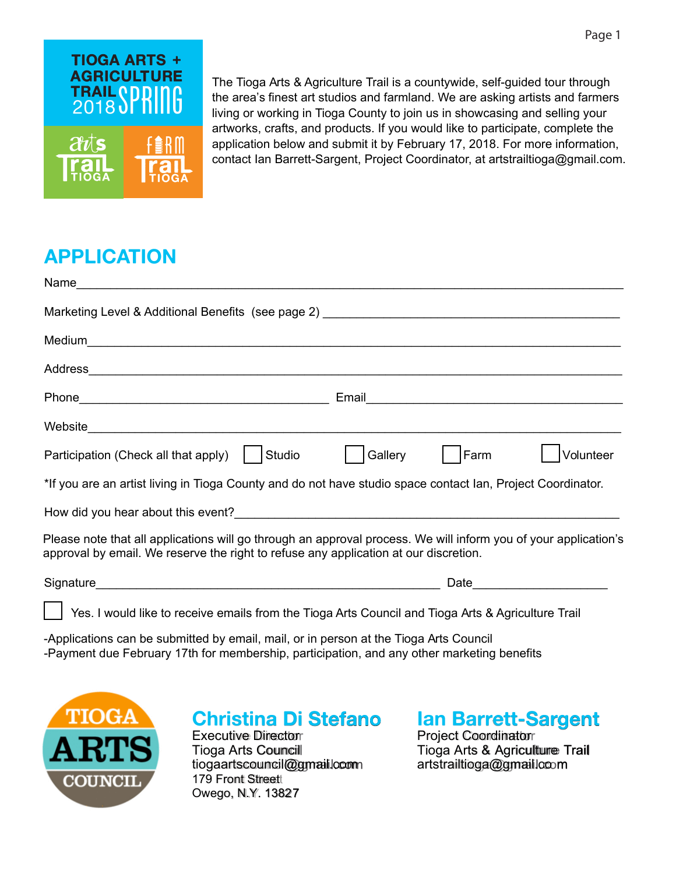

The Tioga Arts & Agriculture Trail is a countywide, self-guided tour through the area's finest art studios and farmland. We are asking artists and farmers living or working in Tioga County to join us in showcasing and selling your artworks, crafts, and products. If you would like to participate, complete the application below and submit it by February 17, 2018. For more information, contact Ian Barrett-Sargent, Project Coordinator, at artstrailtioga@gmail.com.

## **APPLICATION**

| Address experience and the contract of the contract of the contract of the contract of the contract of the contract of the contract of the contract of the contract of the contract of the contract of the contract of the con |                                                                                                                |
|--------------------------------------------------------------------------------------------------------------------------------------------------------------------------------------------------------------------------------|----------------------------------------------------------------------------------------------------------------|
|                                                                                                                                                                                                                                | Email 2008 - 2008 - 2009 - 2010 - 2010 - 2010 - 2011 - 2012 - 2014 - 2016 - 2017 - 2018 - 2019 - 2010 - 2011 - |
|                                                                                                                                                                                                                                |                                                                                                                |
| Studio<br>Participation (Check all that apply)                                                                                                                                                                                 | Gallery<br>Farm<br>Volunteer                                                                                   |
| *If you are an artist living in Tioga County and do not have studio space contact Ian, Project Coordinator.                                                                                                                    |                                                                                                                |
|                                                                                                                                                                                                                                |                                                                                                                |
| Please note that all applications will go through an approval process. We will inform you of your application's<br>approval by email. We reserve the right to refuse any application at our discretion.                        |                                                                                                                |
|                                                                                                                                                                                                                                | Date                                                                                                           |

Yes. I would like to receive emails from the Tioga Arts Council and Tioga Arts & Agriculture Trail

-Applications can be submitted by email, mail, or in person at the Tioga Arts Council -Payment due February 17th for membership, participation, and any other marketing benefits



#### **Christina Di Stefano** Executive Director Tioga Arts Council tiogaartscouncil@gmail.com 179 Front Streett Owego, N.Y. 13827

**Ian Barrett-Sargent** Project Coordinator Tioga Arts & Agriculture Trail artstrailtioga@gmail.com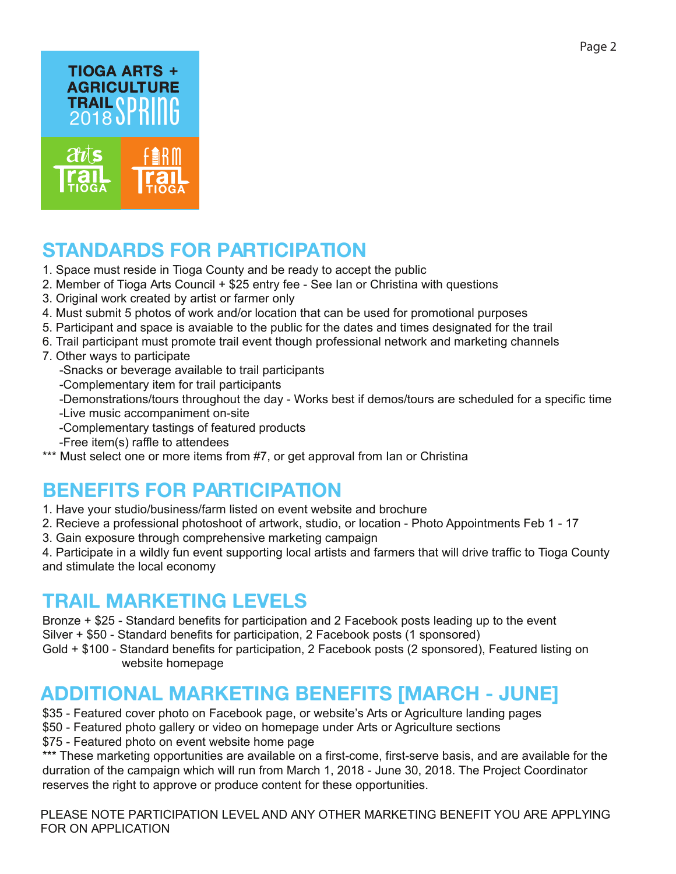

# **STANDARDS FOR PARTICIPATION**

- 1. Space must reside in Tioga County and be ready to accept the public
- 2. Member of Tioga Arts Council + \$25 entry fee See Ian or Christina with questions
- 3. Original work created by artist or farmer only
- 4. Must submit 5 photos of work and/or location that can be used for promotional purposes
- 5. Participant and space is avaiable to the public for the dates and times designated for the trail
- 6. Trail participant must promote trail event though professional network and marketing channels
- 7. Other ways to participate
	- -Snacks or beverage available to trail participants
	- -Complementary item for trail participants
	- -Demonstrations/tours throughout the day Works best if demos/tours are scheduled for a specific time
	- -Live music accompaniment on-site
	- -Complementary tastings of featured products
	- -Free item(s) raffle to attendees
- \*\*\* Must select one or more items from #7, or get approval from Ian or Christina

# **BENEFITS FOR PARTICIPATION**

- 1. Have your studio/business/farm listed on event website and brochure
- 2. Recieve a professional photoshoot of artwork, studio, or location Photo Appointments Feb 1 17
- 3. Gain exposure through comprehensive marketing campaign

4. Participate in a wildly fun event supporting local artists and farmers that will drive traffic to Tioga County and stimulate the local economy

### **TRAIL MARKETING LEVELS**

Bronze + \$25 - Standard benefits for participation and 2 Facebook posts leading up to the event Silver + \$50 - Standard benefits for participation, 2 Facebook posts (1 sponsored) Gold + \$100 - Standard benefits for participation, 2 Facebook posts (2 sponsored), Featured listing on website homepage

## **ADDITIONAL MARKETING BENEFITS [MARCH - JUNE]**

- \$35 Featured cover photo on Facebook page, or website's Arts or Agriculture landing pages
- \$50 Featured photo gallery or video on homepage under Arts or Agriculture sections
- \$75 Featured photo on event website home page

\*\*\* These marketing opportunities are available on a first-come, first-serve basis, and are available for the durration of the campaign which will run from March 1, 2018 - June 30, 2018. The Project Coordinator reserves the right to approve or produce content for these opportunities.

PLEASE NOTE PARTICIPATION LEVEL AND ANY OTHER MARKETING BENEFIT YOU ARE APPLYING FOR ON APPLICATION